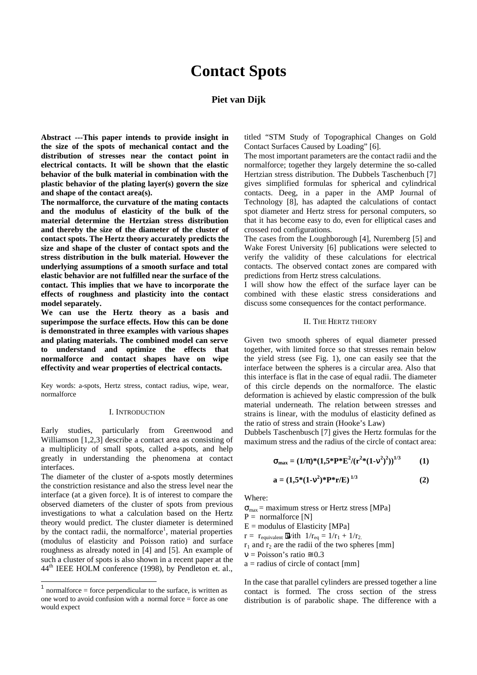# **Contact Spots**

# **Piet van Dijk**

**Abstract ---This paper intends to provide insight in the size of the spots of mechanical contact and the distribution of stresses near the contact point in electrical contacts. It will be shown that the elastic behavior of the bulk material in combination with the plastic behavior of the plating layer(s) govern the size and shape of the contact area(s).** 

**The normalforce, the curvature of the mating contacts and the modulus of elasticity of the bulk of the material determine the Hertzian stress distribution and thereby the size of the diameter of the cluster of contact spots. The Hertz theory accurately predicts the size and shape of the cluster of contact spots and the stress distribution in the bulk material. However the underlying assumptions of a smooth surface and total elastic behavior are not fulfilled near the surface of the contact. This implies that we have to incorporate the effects of roughness and plasticity into the contact model separately.**

**We can use the Hertz theory as a basis and superimpose the surface effects. How this can be done is demonstrated in three examples with various shapes and plating materials. The combined model can serve to understand and optimize the effects that normalforce and contact shapes have on wipe effectivity and wear properties of electrical contacts.**

Key words: a-spots, Hertz stress, contact radius, wipe, wear, normalforce

#### I. INTRODUCTION

Early studies, particularly from Greenwood and Williamson [1,2,3] describe a contact area as consisting of a multiplicity of small spots, called a-spots, and help greatly in understanding the phenomena at contact interfaces.

The diameter of the cluster of a-spots mostly determines the constriction resistance and also the stress level near the interface (at a given force). It is of interest to compare the observed diameters of the cluster of spots from previous investigations to what a calculation based on the Hertz theory would predict. The cluster diameter is determined by the contact radii, the normalforce<sup>1</sup>, material properties (modulus of elasticity and Poisson ratio) and surface roughness as already noted in [4] and [5]. An example of such a cluster of spots is also shown in a recent paper at the 44<sup>th</sup> IEEE HOLM conference (1998), by Pendleton et. al.,

 $\overline{a}$ 

titled "STM Study of Topographical Changes on Gold Contact Surfaces Caused by Loading" [6].

The most important parameters are the contact radii and the normalforce; together they largely determine the so-called Hertzian stress distribution. The Dubbels Taschenbuch [7] gives simplified formulas for spherical and cylindrical contacts. Deeg, in a paper in the AMP Journal of Technology [8], has adapted the calculations of contact spot diameter and Hertz stress for personal computers, so that it has become easy to do, even for elliptical cases and crossed rod configurations.

The cases from the Loughborough [4], Nuremberg [5] and Wake Forest University [6] publications were selected to verify the validity of these calculations for electrical contacts. The observed contact zones are compared with predictions from Hertz stress calculations.

I will show how the effect of the surface layer can be combined with these elastic stress considerations and discuss some consequences for the contact performance.

#### II. THE HERTZ THEORY

Given two smooth spheres of equal diameter pressed together, with limited force so that stresses remain below the yield stress (see Fig. 1), one can easily see that the interface between the spheres is a circular area. Also that this interface is flat in the case of equal radii. The diameter of this circle depends on the normalforce. The elastic deformation is achieved by elastic compression of the bulk material underneath. The relation between stresses and strains is linear, with the modulus of elasticity defined as the ratio of stress and strain (Hooke's Law)

Dubbels Taschenbusch [7] gives the Hertz formulas for the maximum stress and the radius of the circle of contact area:

$$
\sigma_{\text{max}} = (1/\pi)^* (1.5^* \text{P}^* \text{E}^2 / (\text{r}^2 * (1 - \text{v}^2)^2))^{1/3} \tag{1}
$$

$$
a = (1.5*(1-v^2)*P*r/E)^{1/3}
$$
 (2)

Where:

 $\sigma_{\text{max}}$  = maximum stress or Hertz stress [MPa]  $P =$  normalforce [N]  $E =$  modulus of Elasticity [MPa]

 $r = r_{\text{equivalent}}$  With  $1/r_{\text{eq}} = 1/r_1 + 1/r_2$ .  $r_1$  and  $r_2$  are the radii of the two spheres [mm]

 $v = Poisson's ratio \approx 0.3$ 

 $a =$  radius of circle of contact [mm]

In the case that parallel cylinders are pressed together a line contact is formed. The cross section of the stress distribution is of parabolic shape. The difference with a

<sup>1</sup> normalforce = force perpendicular to the surface, is written as one word to avoid confusion with a normal force  $=$  force as one would expect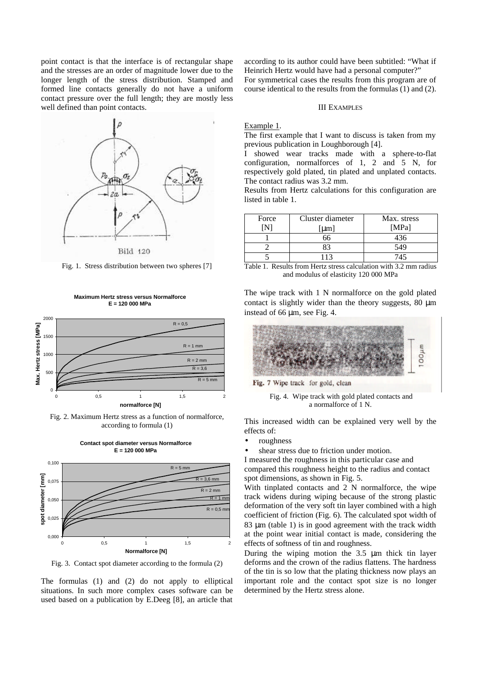point contact is that the interface is of rectangular shape and the stresses are an order of magnitude lower due to the longer length of the stress distribution. Stamped and formed line contacts generally do not have a uniform contact pressure over the full length; they are mostly less well defined than point contacts.



Fig. 1. Stress distribution between two spheres [7]

**Maximum Hertz stress versus Normalforce E = 120 000 MPa**



Fig. 2. Maximum Hertz stress as a function of normalforce, according to formula (1)

**Contact spot diameter versus Normalforce**



Fig. 3. Contact spot diameter according to the formula (2)

The formulas (1) and (2) do not apply to elliptical situations. In such more complex cases software can be used based on a publication by E.Deeg [8], an article that

according to its author could have been subtitled: "What if Heinrich Hertz would have had a personal computer?" For symmetrical cases the results from this program are of course identical to the results from the formulas (1) and (2).

#### III EXAMPLES

# Example 1.

The first example that I want to discuss is taken from my previous publication in Loughborough [4].

I showed wear tracks made with a sphere-to-flat configuration, normalforces of 1, 2 and 5 N, for respectively gold plated, tin plated and unplated contacts. The contact radius was 3.2 mm.

Results from Hertz calculations for this configuration are listed in table 1.

| Force | Cluster diameter | Max. stress |
|-------|------------------|-------------|
|       | [µm]             | [MPa]       |
|       | 66               | 436         |
|       | R3               | 549         |
|       |                  | 745         |

Table 1. Results from Hertz stress calculation with 3.2 mm radius and modulus of elasticity 120 000 MPa

The wipe track with 1 N normalforce on the gold plated contact is slightly wider than the theory suggests, 80 μm instead of 66 μm, see Fig. 4.



Fig. 7 Wipe track for gold, clean

 Fig. 4. Wipe track with gold plated contacts and a normalforce of 1 N.

This increased width can be explained very well by the effects of:

- roughness
- shear stress due to friction under motion.

I measured the roughness in this particular case and compared this roughness height to the radius and contact spot dimensions, as shown in Fig. 5.

With tinplated contacts and 2 N normalforce, the wipe track widens during wiping because of the strong plastic deformation of the very soft tin layer combined with a high coefficient of friction (Fig. 6). The calculated spot width of 83 μm (table 1) is in good agreement with the track width at the point wear initial contact is made, considering the effects of softness of tin and roughness.

During the wiping motion the 3.5 μm thick tin layer deforms and the crown of the radius flattens. The hardness of the tin is so low that the plating thickness now plays an important role and the contact spot size is no longer determined by the Hertz stress alone.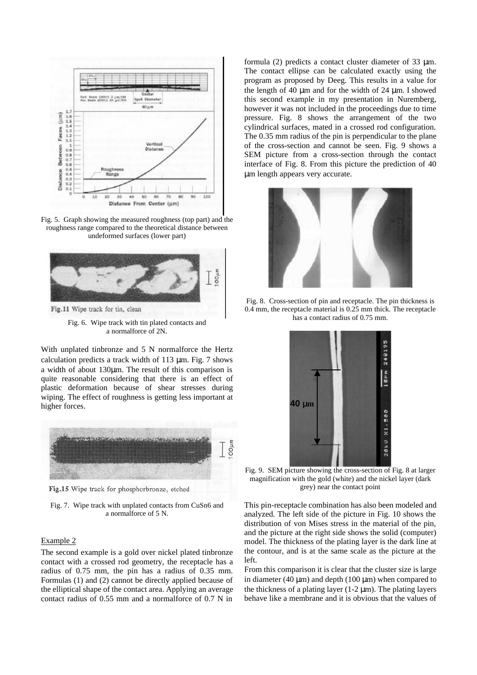

Fig. 5. Graph showing the measured roughness (top part) and the roughness range compared to the theoretical distance between undeformed surfaces (lower part)



Fig. 6. Wipe track with tin plated contacts and a normalforce of 2N.

With unplated tinbronze and 5 N normalforce the Hertz calculation predicts a track width of 113 μm. Fig. 7 shows a width of about 130μm. The result of this comparison is quite reasonable considering that there is an effect of plastic deformation because of shear stresses during wiping. The effect of roughness is getting less important at higher forces.



Fig.15 Wipe track for phosphorbronze, etched

Fig. 7. Wipe track with unplated contacts from CuSn6 and a normalforce of 5 N.

## Example 2

The second example is a gold over nickel plated tinbronze contact with a crossed rod geometry, the receptacle has a radius of 0.75 mm, the pin has a radius of 0.35 mm. Formulas (1) and (2) cannot be directly applied because of the elliptical shape of the contact area. Applying an average contact radius of 0.55 mm and a normalforce of 0.7 N in

formula (2) predicts a contact cluster diameter of 33 μm. The contact ellipse can be calculated exactly using the program as proposed by Deeg. This results in a value for the length of 40  $\mu$ m and for the width of 24  $\mu$ m. I showed this second example in my presentation in Nuremberg, however it was not included in the proceedings due to time pressure. Fig. 8 shows the arrangement of the two cylindrical surfaces, mated in a crossed rod configuration. The 0.35 mm radius of the pin is perpendicular to the plane of the cross-section and cannot be seen. Fig. 9 shows a SEM picture from a cross-section through the contact interface of Fig. 8. From this picture the prediction of 40 μm length appears very accurate.



Fig. 8. Cross-section of pin and receptacle. The pin thickness is 0.4 mm, the receptacle material is 0.25 mm thick. The receptacle has a contact radius of 0.75 mm.



Fig. 9. SEM picture showing the cross-section of Fig. 8 at larger magnification with the gold (white) and the nickel layer (dark grey) near the contact point

This pin-receptacle combination has also been modeled and analyzed. The left side of the picture in Fig. 10 shows the distribution of von Mises stress in the material of the pin, and the picture at the right side shows the solid (computer) model. The thickness of the plating layer is the dark line at the contour, and is at the same scale as the picture at the left.

From this comparison it is clear that the cluster size is large in diameter (40  $\mu$ m) and depth (100  $\mu$ m) when compared to the thickness of a plating layer  $(1-2 \mu m)$ . The plating layers behave like a membrane and it is obvious that the values of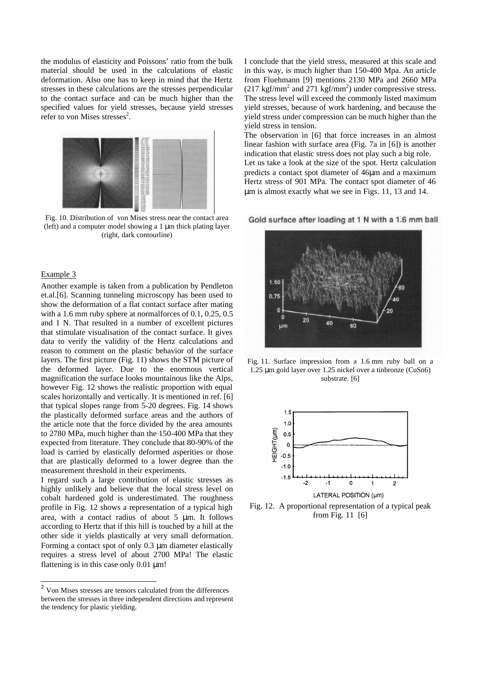the modulus of elasticity and Poissons' ratio from the bulk material should be used in the calculations of elastic deformation. Also one has to keep in mind that the Hertz stresses in these calculations are the stresses perpendicular to the contact surface and can be much higher than the specified values for yield stresses, because yield stresses refer to von Mises stresses $2$ .



Fig. 10. Distribution of von Mises stress near the contact area (left) and a computer model showing a 1 μm thick plating layer (right, dark contourline)

## Example 3

Another example is taken from a publication by Pendleton et.al.[6]. Scanning tunneling microscopy has been used to show the deformation of a flat contact surface after mating with a 1.6 mm ruby sphere at normalforces of 0.1, 0.25, 0.5 and 1 N. That resulted in a number of excellent pictures that stimulate visualisation of the contact surface. It gives data to verify the validity of the Hertz calculations and reason to comment on the plastic behavior of the surface layers. The first picture (Fig. 11) shows the STM picture of the deformed layer. Due to the enormous vertical magnification the surface looks mountainous like the Alps, however Fig. 12 shows the realistic proportion with equal scales horizontally and vertically. It is mentioned in ref. [6] that typical slopes range from 5-20 degrees. Fig. 14 shows the plastically deformed surface areas and the authors of the article note that the force divided by the area amounts to 2780 MPa, much higher than the 150-400 MPa that they expected from literature. They conclude that 80-90% of the load is carried by elastically deformed asperities or those that are plastically deformed to a lower degree than the measurement threshold in their experiments.

I regard such a large contribution of elastic stresses as highly unlikely and believe that the local stress level on cobalt hardened gold is underestimated. The roughness profile in Fig. 12 shows a representation of a typical high area, with a contact radius of about 5 μm. It follows according to Hertz that if this hill is touched by a hill at the other side it yields plastically at very small deformation. Forming a contact spot of only 0.3 μm diameter elastically requires a stress level of about 2700 MPa! The elastic flattening is in this case only 0.01 μm!

I conclude that the yield stress, measured at this scale and in this way, is much higher than 150-400 Mpa. An article from Fluehmann [9] mentions 2130 MPa and 2660 MPa  $(217 \text{ kgf/mm}^2 \text{ and } 271 \text{ kgf/mm}^2)$  under compressive stress. The stress level will exceed the commonly listed maximum yield stresses, because of work hardening, and because the yield stress under compression can be much higher than the yield stress in tension.

The observation in [6] that force increases in an almost linear fashion with surface area (Fig. 7a in [6]) is another indication that elastic stress does not play such a big role. Let us take a look at the size of the spot. Hertz calculation predicts a contact spot diameter of 46μm and a maximum Hertz stress of 901 MPa. The contact spot diameter of 46 μm is almost exactly what we see in Figs. 11, 13 and 14.

Gold surface after loading at 1 N with a 1.6 mm ball



Fig. 11. Surface impression from a 1.6 mm ruby ball on a 1.25 μm gold layer over 1.25 nickel over a tinbronze (CuSn6) substrate. [6]



Fig. 12. A proportional representation of a typical peak from Fig. 11 [6]

 2 Von Mises stresses are tensors calculated from the differences between the stresses in three independent directions and represent the tendency for plastic yielding.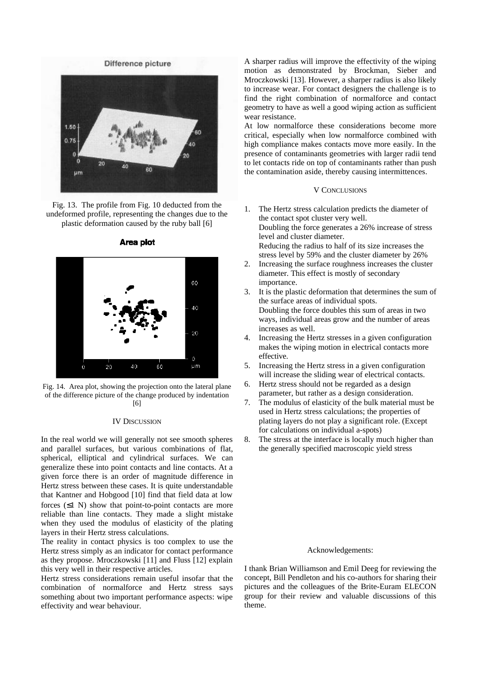# Difference picture



Fig. 13. The profile from Fig. 10 deducted from the undeformed profile, representing the changes due to the plastic deformation caused by the ruby ball [6]



Area plot

Fig. 14. Area plot, showing the projection onto the lateral plane of the difference picture of the change produced by indentation [6]

#### IV DISCUSSION

In the real world we will generally not see smooth spheres and parallel surfaces, but various combinations of flat, spherical, elliptical and cylindrical surfaces. We can generalize these into point contacts and line contacts. At a given force there is an order of magnitude difference in Hertz stress between these cases. It is quite understandable that Kantner and Hobgood [10] find that field data at low forces  $(≤1 N)$  show that point-to-point contacts are more reliable than line contacts. They made a slight mistake when they used the modulus of elasticity of the plating layers in their Hertz stress calculations.

The reality in contact physics is too complex to use the Hertz stress simply as an indicator for contact performance as they propose. Mroczkowski [11] and Fluss [12] explain this very well in their respective articles.

Hertz stress considerations remain useful insofar that the combination of normalforce and Hertz stress says something about two important performance aspects: wipe effectivity and wear behaviour.

A sharper radius will improve the effectivity of the wiping motion as demonstrated by Brockman, Sieber and Mroczkowski [13]. However, a sharper radius is also likely to increase wear. For contact designers the challenge is to find the right combination of normalforce and contact geometry to have as well a good wiping action as sufficient wear resistance.

At low normalforce these considerations become more critical, especially when low normalforce combined with high compliance makes contacts move more easily. In the presence of contaminants geometries with larger radii tend to let contacts ride on top of contaminants rather than push the contamination aside, thereby causing intermittences.

# V CONCLUSIONS

- 1. The Hertz stress calculation predicts the diameter of the contact spot cluster very well. Doubling the force generates a 26% increase of stress level and cluster diameter. Reducing the radius to half of its size increases the stress level by 59% and the cluster diameter by 26%
- 2. Increasing the surface roughness increases the cluster diameter. This effect is mostly of secondary importance.
- 3. It is the plastic deformation that determines the sum of the surface areas of individual spots. Doubling the force doubles this sum of areas in two ways, individual areas grow and the number of areas increases as well.
- 4. Increasing the Hertz stresses in a given configuration makes the wiping motion in electrical contacts more effective.
- 5. Increasing the Hertz stress in a given configuration will increase the sliding wear of electrical contacts.
- 6. Hertz stress should not be regarded as a design parameter, but rather as a design consideration.
- 7. The modulus of elasticity of the bulk material must be used in Hertz stress calculations; the properties of plating layers do not play a significant role. (Except for calculations on individual a-spots)
- 8. The stress at the interface is locally much higher than the generally specified macroscopic yield stress

#### Acknowledgements:

I thank Brian Williamson and Emil Deeg for reviewing the concept, Bill Pendleton and his co-authors for sharing their pictures and the colleagues of the Brite-Euram ELECON group for their review and valuable discussions of this theme.